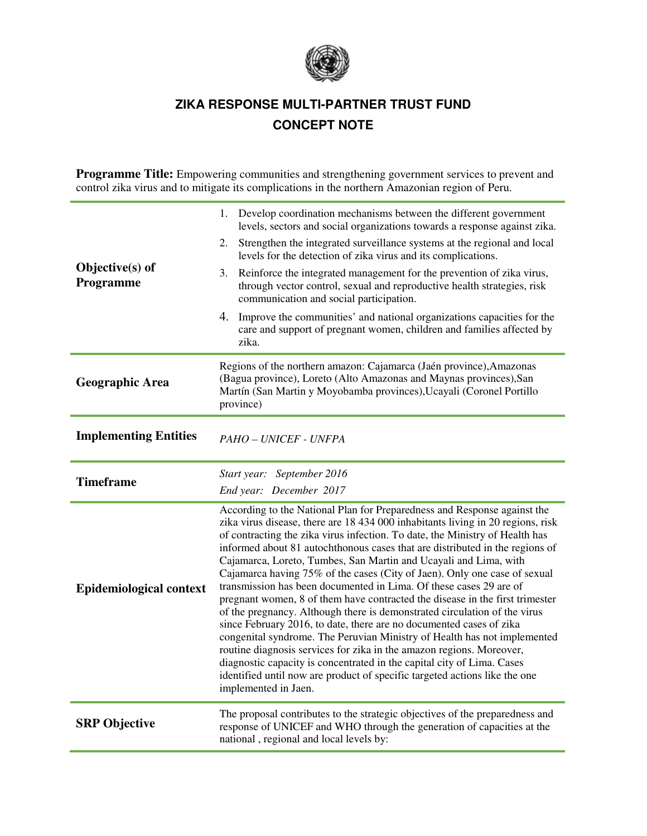

# **ZIKA RESPONSE MULTI-PARTNER TRUST FUND CONCEPT NOTE**

**Programme Title:** Empowering communities and strengthening government services to prevent and control zika virus and to mitigate its complications in the northern Amazonian region of Peru.

| Objective(s) of<br>Programme   | Develop coordination mechanisms between the different government<br>1.<br>levels, sectors and social organizations towards a response against zika.<br>Strengthen the integrated surveillance systems at the regional and local<br>2.<br>levels for the detection of zika virus and its complications.<br>Reinforce the integrated management for the prevention of zika virus,<br>3.<br>through vector control, sexual and reproductive health strategies, risk<br>communication and social participation.<br>4. Improve the communities' and national organizations capacities for the<br>care and support of pregnant women, children and families affected by<br>zika.                                                                                                                                                                                                                                                                                                                                                                                                                                                 |  |  |  |
|--------------------------------|----------------------------------------------------------------------------------------------------------------------------------------------------------------------------------------------------------------------------------------------------------------------------------------------------------------------------------------------------------------------------------------------------------------------------------------------------------------------------------------------------------------------------------------------------------------------------------------------------------------------------------------------------------------------------------------------------------------------------------------------------------------------------------------------------------------------------------------------------------------------------------------------------------------------------------------------------------------------------------------------------------------------------------------------------------------------------------------------------------------------------|--|--|--|
| <b>Geographic Area</b>         | Regions of the northern amazon: Cajamarca (Jaén province), Amazonas<br>(Bagua province), Loreto (Alto Amazonas and Maynas provinces), San<br>Martín (San Martin y Moyobamba provinces), Ucayali (Coronel Portillo<br>province)                                                                                                                                                                                                                                                                                                                                                                                                                                                                                                                                                                                                                                                                                                                                                                                                                                                                                             |  |  |  |
| <b>Implementing Entities</b>   | PAHO - UNICEF - UNFPA                                                                                                                                                                                                                                                                                                                                                                                                                                                                                                                                                                                                                                                                                                                                                                                                                                                                                                                                                                                                                                                                                                      |  |  |  |
| <b>Timeframe</b>               | Start year: September 2016                                                                                                                                                                                                                                                                                                                                                                                                                                                                                                                                                                                                                                                                                                                                                                                                                                                                                                                                                                                                                                                                                                 |  |  |  |
|                                | End year: December 2017                                                                                                                                                                                                                                                                                                                                                                                                                                                                                                                                                                                                                                                                                                                                                                                                                                                                                                                                                                                                                                                                                                    |  |  |  |
| <b>Epidemiological context</b> | According to the National Plan for Preparedness and Response against the<br>zika virus disease, there are 18 434 000 inhabitants living in 20 regions, risk<br>of contracting the zika virus infection. To date, the Ministry of Health has<br>informed about 81 autochthonous cases that are distributed in the regions of<br>Cajamarca, Loreto, Tumbes, San Martin and Ucayali and Lima, with<br>Cajamarca having 75% of the cases (City of Jaen). Only one case of sexual<br>transmission has been documented in Lima. Of these cases 29 are of<br>pregnant women, 8 of them have contracted the disease in the first trimester<br>of the pregnancy. Although there is demonstrated circulation of the virus<br>since February 2016, to date, there are no documented cases of zika<br>congenital syndrome. The Peruvian Ministry of Health has not implemented<br>routine diagnosis services for zika in the amazon regions. Moreover,<br>diagnostic capacity is concentrated in the capital city of Lima. Cases<br>identified until now are product of specific targeted actions like the one<br>implemented in Jaen. |  |  |  |
| <b>SRP</b> Objective           | The proposal contributes to the strategic objectives of the preparedness and<br>response of UNICEF and WHO through the generation of capacities at the<br>national, regional and local levels by:                                                                                                                                                                                                                                                                                                                                                                                                                                                                                                                                                                                                                                                                                                                                                                                                                                                                                                                          |  |  |  |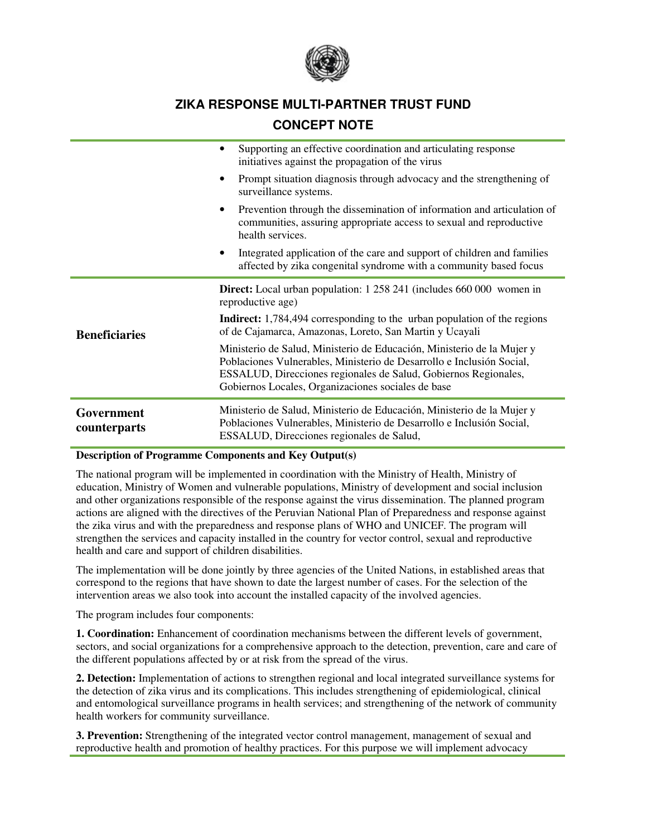

# **ZIKA RESPONSE MULTI-PARTNER TRUST FUND**

## **CONCEPT NOTE**

|                            | Supporting an effective coordination and articulating response<br>initiatives against the propagation of the virus                                                                                                                                                       |  |  |  |  |
|----------------------------|--------------------------------------------------------------------------------------------------------------------------------------------------------------------------------------------------------------------------------------------------------------------------|--|--|--|--|
|                            | Prompt situation diagnosis through advocacy and the strengthening of<br>surveillance systems.                                                                                                                                                                            |  |  |  |  |
|                            | Prevention through the dissemination of information and articulation of<br>communities, assuring appropriate access to sexual and reproductive<br>health services.                                                                                                       |  |  |  |  |
|                            | Integrated application of the care and support of children and families<br>affected by zika congenital syndrome with a community based focus                                                                                                                             |  |  |  |  |
|                            | <b>Direct:</b> Local urban population: 1 258 241 (includes 660 000 women in<br>reproductive age)                                                                                                                                                                         |  |  |  |  |
| <b>Beneficiaries</b>       | Indirect: 1,784,494 corresponding to the urban population of the regions<br>of de Cajamarca, Amazonas, Loreto, San Martin y Ucayali                                                                                                                                      |  |  |  |  |
|                            | Ministerio de Salud, Ministerio de Educación, Ministerio de la Mujer y<br>Poblaciones Vulnerables, Ministerio de Desarrollo e Inclusión Social,<br>ESSALUD, Direcciones regionales de Salud, Gobiernos Regionales,<br>Gobiernos Locales, Organizaciones sociales de base |  |  |  |  |
| Government<br>counterparts | Ministerio de Salud, Ministerio de Educación, Ministerio de la Mujer y<br>Poblaciones Vulnerables, Ministerio de Desarrollo e Inclusión Social,<br>ESSALUD, Direcciones regionales de Salud,                                                                             |  |  |  |  |

#### **Description of Programme Components and Key Output(s)**

The national program will be implemented in coordination with the Ministry of Health, Ministry of education, Ministry of Women and vulnerable populations, Ministry of development and social inclusion and other organizations responsible of the response against the virus dissemination. The planned program actions are aligned with the directives of the Peruvian National Plan of Preparedness and response against the zika virus and with the preparedness and response plans of WHO and UNICEF. The program will strengthen the services and capacity installed in the country for vector control, sexual and reproductive health and care and support of children disabilities.

The implementation will be done jointly by three agencies of the United Nations, in established areas that correspond to the regions that have shown to date the largest number of cases. For the selection of the intervention areas we also took into account the installed capacity of the involved agencies.

The program includes four components:

**1. Coordination:** Enhancement of coordination mechanisms between the different levels of government, sectors, and social organizations for a comprehensive approach to the detection, prevention, care and care of the different populations affected by or at risk from the spread of the virus.

**2. Detection:** Implementation of actions to strengthen regional and local integrated surveillance systems for the detection of zika virus and its complications. This includes strengthening of epidemiological, clinical and entomological surveillance programs in health services; and strengthening of the network of community health workers for community surveillance.

**3. Prevention:** Strengthening of the integrated vector control management, management of sexual and reproductive health and promotion of healthy practices. For this purpose we will implement advocacy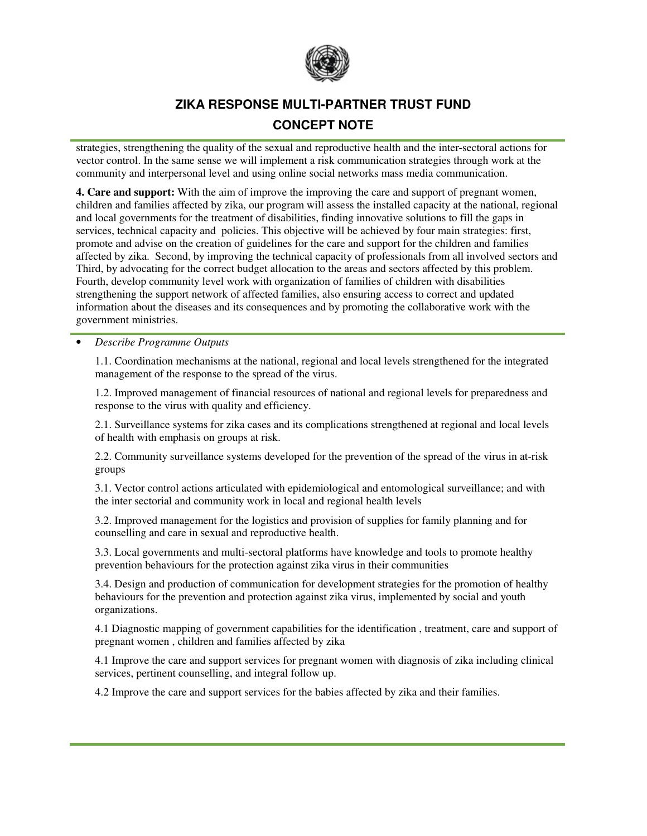

## **ZIKA RESPONSE MULTI-PARTNER TRUST FUND CONCEPT NOTE**

strategies, strengthening the quality of the sexual and reproductive health and the inter-sectoral actions for vector control. In the same sense we will implement a risk communication strategies through work at the community and interpersonal level and using online social networks mass media communication.

**4. Care and support:** With the aim of improve the improving the care and support of pregnant women, children and families affected by zika, our program will assess the installed capacity at the national, regional and local governments for the treatment of disabilities, finding innovative solutions to fill the gaps in services, technical capacity and policies. This objective will be achieved by four main strategies: first, promote and advise on the creation of guidelines for the care and support for the children and families affected by zika. Second, by improving the technical capacity of professionals from all involved sectors and Third, by advocating for the correct budget allocation to the areas and sectors affected by this problem. Fourth, develop community level work with organization of families of children with disabilities strengthening the support network of affected families, also ensuring access to correct and updated information about the diseases and its consequences and by promoting the collaborative work with the government ministries.

#### • *Describe Programme Outputs*

1.1. Coordination mechanisms at the national, regional and local levels strengthened for the integrated management of the response to the spread of the virus.

1.2. Improved management of financial resources of national and regional levels for preparedness and response to the virus with quality and efficiency.

2.1. Surveillance systems for zika cases and its complications strengthened at regional and local levels of health with emphasis on groups at risk.

2.2. Community surveillance systems developed for the prevention of the spread of the virus in at-risk groups

3.1. Vector control actions articulated with epidemiological and entomological surveillance; and with the inter sectorial and community work in local and regional health levels

3.2. Improved management for the logistics and provision of supplies for family planning and for counselling and care in sexual and reproductive health.

3.3. Local governments and multi-sectoral platforms have knowledge and tools to promote healthy prevention behaviours for the protection against zika virus in their communities

3.4. Design and production of communication for development strategies for the promotion of healthy behaviours for the prevention and protection against zika virus, implemented by social and youth organizations.

4.1 Diagnostic mapping of government capabilities for the identification , treatment, care and support of pregnant women , children and families affected by zika

4.1 Improve the care and support services for pregnant women with diagnosis of zika including clinical services, pertinent counselling, and integral follow up.

4.2 Improve the care and support services for the babies affected by zika and their families.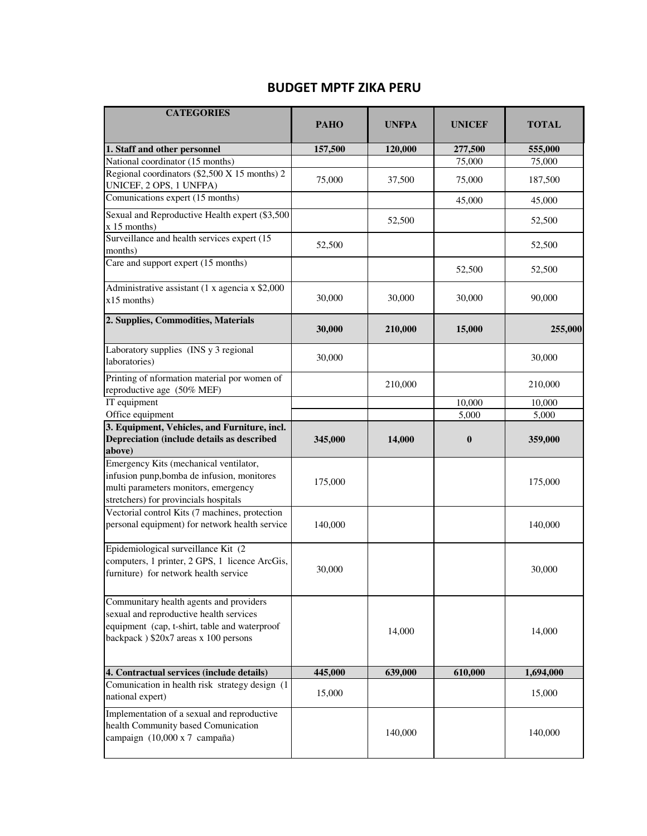## **BUDGET MPTF ZIKA PERU**

| <b>CATEGORIES</b>                                                                                                                                                           | <b>PAHO</b> | <b>UNFPA</b> | <b>UNICEF</b> | <b>TOTAL</b> |
|-----------------------------------------------------------------------------------------------------------------------------------------------------------------------------|-------------|--------------|---------------|--------------|
|                                                                                                                                                                             |             |              |               |              |
| 1. Staff and other personnel                                                                                                                                                | 157,500     | 120,000      | 277,500       | 555,000      |
| National coordinator (15 months)<br>Regional coordinators (\$2,500 X 15 months) 2                                                                                           |             |              | 75,000        | 75,000       |
| UNICEF, 2 OPS, 1 UNFPA)                                                                                                                                                     | 75,000      | 37,500       | 75,000        | 187,500      |
| Comunications expert (15 months)                                                                                                                                            |             |              | 45,000        | 45,000       |
| Sexual and Reproductive Health expert (\$3,500<br>$x 15$ months)                                                                                                            |             | 52,500       |               | 52,500       |
| Surveillance and health services expert (15)<br>months)                                                                                                                     | 52,500      |              |               | 52,500       |
| Care and support expert (15 months)                                                                                                                                         |             |              | 52,500        | 52,500       |
| Administrative assistant (1 x agencia x \$2,000<br>$x15$ months)                                                                                                            | 30,000      | 30,000       | 30,000        | 90,000       |
| 2. Supplies, Commodities, Materials                                                                                                                                         | 30,000      | 210,000      | 15,000        | 255,000      |
| Laboratory supplies (INS y 3 regional<br>laboratories)                                                                                                                      | 30,000      |              |               | 30,000       |
| Printing of nformation material por women of<br>reproductive age (50% MEF)                                                                                                  |             | 210,000      |               | 210,000      |
| IT equipment                                                                                                                                                                |             |              | 10,000        | 10,000       |
| Office equipment                                                                                                                                                            |             |              | 5,000         | 5,000        |
| 3. Equipment, Vehicles, and Furniture, incl.<br>Depreciation (include details as described<br>above)                                                                        | 345,000     | 14,000       | $\bf{0}$      | 359,000      |
| Emergency Kits (mechanical ventilator,<br>infusion punp, bomba de infusion, monitores<br>multi parameters monitors, emergency<br>stretchers) for provincials hospitals      | 175,000     |              |               | 175,000      |
| Vectorial control Kits (7 machines, protection<br>personal equipment) for network health service                                                                            | 140,000     |              |               | 140,000      |
| Epidemiological surveillance Kit (2<br>computers, 1 printer, 2 GPS, 1 licence ArcGis,<br>furniture) for network health service                                              | 30,000      |              |               | 30,000       |
| Communitary health agents and providers<br>sexual and reproductive health services<br>equipment (cap, t-shirt, table and waterproof<br>backpack) \$20x7 areas x 100 persons |             | 14,000       |               | 14,000       |
| 4. Contractual services (include details)                                                                                                                                   | 445,000     | 639,000      | 610,000       | 1,694,000    |
| Comunication in health risk strategy design (1<br>national expert)                                                                                                          | 15,000      |              |               | 15,000       |
| Implementation of a sexual and reproductive<br>health Community based Comunication<br>campaign (10,000 x 7 campaña)                                                         |             | 140,000      |               | 140,000      |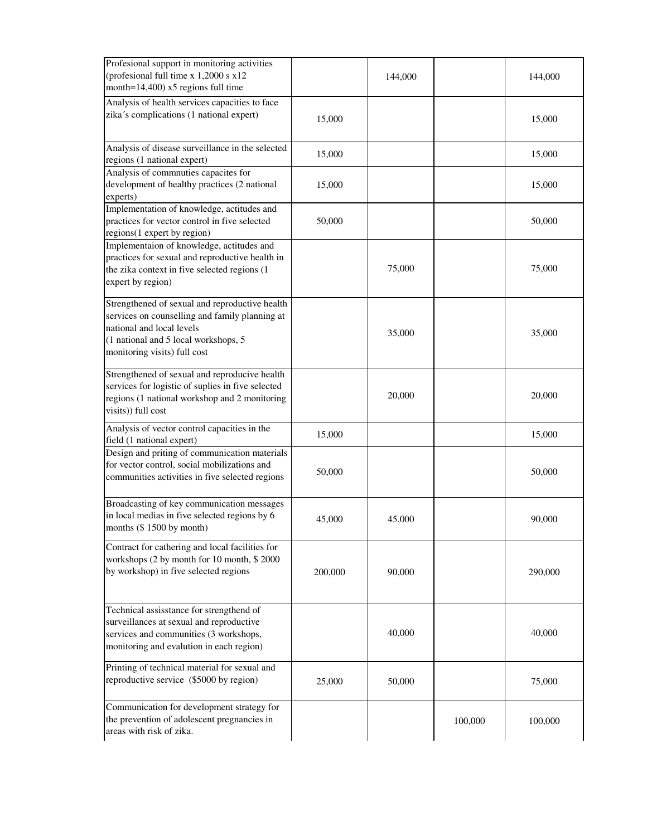| Profesional support in monitoring activities<br>(profesional full time x 1,2000 s x12)<br>month=14,400) x5 regions full time                                                                          |         | 144,000 |         | 144,000 |
|-------------------------------------------------------------------------------------------------------------------------------------------------------------------------------------------------------|---------|---------|---------|---------|
| Analysis of health services capacities to face<br>zika's complications (1 national expert)                                                                                                            | 15,000  |         |         | 15,000  |
| Analysis of disease surveillance in the selected<br>regions (1 national expert)                                                                                                                       | 15,000  |         |         | 15,000  |
| Analysis of commnuties capacites for<br>development of healthy practices (2 national<br>experts)                                                                                                      | 15,000  |         |         | 15,000  |
| Implementation of knowledge, actitudes and<br>practices for vector control in five selected<br>regions(1 expert by region)                                                                            | 50,000  |         |         | 50,000  |
| Implementaion of knowledge, actitudes and<br>practices for sexual and reproductive health in<br>the zika context in five selected regions (1<br>expert by region)                                     |         | 75,000  |         | 75,000  |
| Strengthened of sexual and reproductive health<br>services on counselling and family planning at<br>national and local levels<br>(1 national and 5 local workshops, 5<br>monitoring visits) full cost |         | 35,000  |         | 35,000  |
| Strengthened of sexual and reproducive health<br>services for logistic of suplies in five selected<br>regions (1 national workshop and 2 monitoring<br>visits)) full cost                             |         | 20,000  |         | 20,000  |
| Analysis of vector control capacities in the<br>field (1 national expert)                                                                                                                             | 15,000  |         |         | 15,000  |
| Design and priting of communication materials<br>for vector control, social mobilizations and<br>communities activities in five selected regions                                                      | 50,000  |         |         | 50,000  |
| Broadcasting of key communication messages<br>in local medias in five selected regions by 6<br>months (\$1500 by month)                                                                               | 45,000  | 45,000  |         | 90,000  |
| Contract for cathering and local facilities for<br>workshops (2 by month for 10 month, \$2000<br>by workshop) in five selected regions                                                                | 200,000 | 90,000  |         | 290,000 |
| Technical assisstance for strengthend of<br>surveillances at sexual and reproductive<br>services and communities (3 workshops,<br>monitoring and evalution in each region)                            |         | 40,000  |         | 40,000  |
| Printing of technical material for sexual and<br>reproductive service (\$5000 by region)                                                                                                              | 25,000  | 50,000  |         | 75,000  |
| Communication for development strategy for<br>the prevention of adolescent pregnancies in<br>areas with risk of zika.                                                                                 |         |         | 100,000 | 100,000 |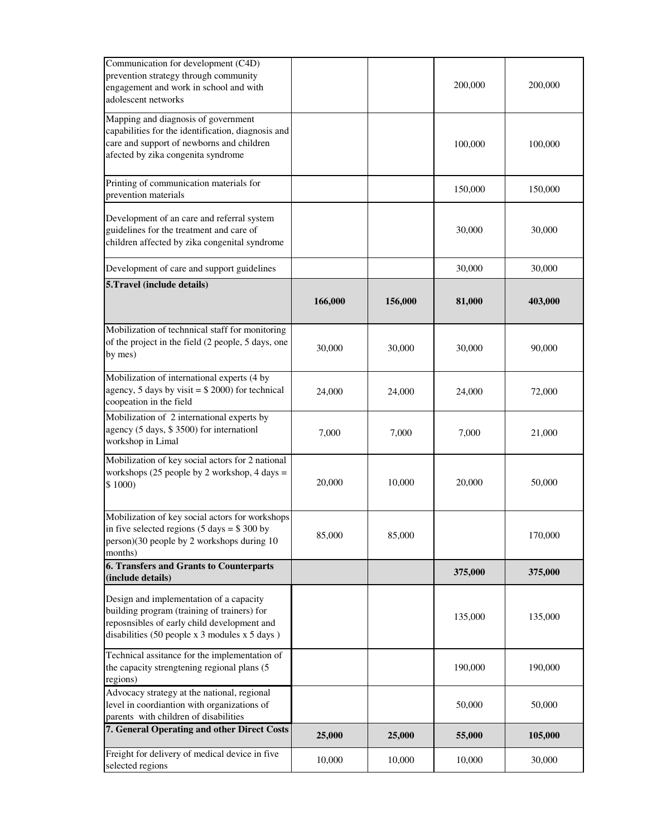| Communication for development (C4D)<br>prevention strategy through community<br>engagement and work in school and with<br>adolescent networks                                            |         |         | 200,000 | 200,000 |
|------------------------------------------------------------------------------------------------------------------------------------------------------------------------------------------|---------|---------|---------|---------|
| Mapping and diagnosis of government<br>capabilities for the identification, diagnosis and<br>care and support of newborns and children<br>afected by zika congenita syndrome             |         |         | 100,000 | 100,000 |
| Printing of communication materials for<br>prevention materials                                                                                                                          |         |         | 150,000 | 150,000 |
| Development of an care and referral system<br>guidelines for the treatment and care of<br>children affected by zika congenital syndrome                                                  |         |         | 30,000  | 30,000  |
| Development of care and support guidelines                                                                                                                                               |         |         | 30,000  | 30,000  |
| 5. Travel (include details)                                                                                                                                                              |         |         |         |         |
|                                                                                                                                                                                          | 166,000 | 156,000 | 81,000  | 403,000 |
| Mobilization of technnical staff for monitoring<br>of the project in the field (2 people, 5 days, one<br>by mes)                                                                         | 30,000  | 30,000  | 30,000  | 90,000  |
| Mobilization of international experts (4 by<br>agency, 5 days by visit = $$2000$ ) for technical<br>coopeation in the field                                                              | 24,000  | 24,000  | 24,000  | 72,000  |
| Mobilization of 2 international experts by<br>agency (5 days, \$ 3500) for internationl<br>workshop in Limal                                                                             | 7,000   | 7,000   | 7,000   | 21,000  |
| Mobilization of key social actors for 2 national<br>workshops $(25$ people by 2 workshop, 4 days =<br>\$1000)                                                                            | 20,000  | 10,000  | 20,000  | 50,000  |
| Mobilization of key social actors for workshops<br>in five selected regions $(5 \text{ days} = $300 \text{ by})$<br>person)(30 people by 2 workshops during 10<br>months)                | 85,000  | 85,000  |         | 170,000 |
| 6. Transfers and Grants to Counterparts<br>(include details)                                                                                                                             |         |         | 375,000 | 375,000 |
| Design and implementation of a capacity<br>building program (training of trainers) for<br>reposnsibles of early child development and<br>disabilities $(50$ people x 3 modules x 5 days) |         |         | 135,000 | 135,000 |
| Technical assitance for the implementation of<br>the capacity strengtening regional plans (5<br>regions)                                                                                 |         |         | 190,000 | 190,000 |
| Advocacy strategy at the national, regional<br>level in coordiantion with organizations of<br>parents with children of disabilities                                                      |         |         | 50,000  | 50,000  |
| 7. General Operating and other Direct Costs                                                                                                                                              | 25,000  | 25,000  | 55,000  | 105,000 |
| Freight for delivery of medical device in five<br>selected regions                                                                                                                       | 10,000  | 10,000  | 10,000  | 30,000  |